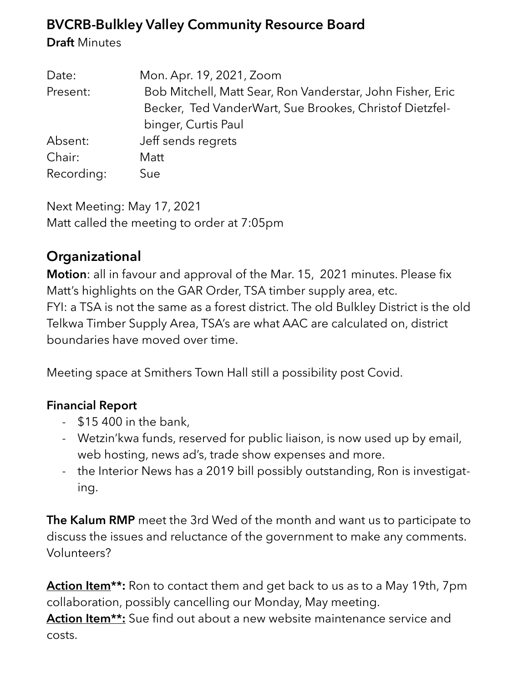## **BVCRB-Bulkley Valley Community Resource Board**

**Draft** Minutes

| Date:      | Mon. Apr. 19, 2021, Zoom                                   |
|------------|------------------------------------------------------------|
| Present:   | Bob Mitchell, Matt Sear, Ron Vanderstar, John Fisher, Eric |
|            | Becker, Ted VanderWart, Sue Brookes, Christof Dietzfel-    |
|            | binger, Curtis Paul                                        |
| Absent:    | Jeff sends regrets                                         |
| Chair:     | Matt                                                       |
| Recording: | Sue                                                        |

Next Meeting: May 17, 2021 Matt called the meeting to order at 7:05pm

# **Organizational**

**Motion**: all in favour and approval of the Mar. 15, 2021 minutes. Please fix Matt's highlights on the GAR Order, TSA timber supply area, etc. FYI: a TSA is not the same as a forest district. The old Bulkley District is the old Telkwa Timber Supply Area, TSA's are what AAC are calculated on, district boundaries have moved over time.

Meeting space at Smithers Town Hall still a possibility post Covid.

#### **Financial Report**

- \$15 400 in the bank,
- Wetzin'kwa funds, reserved for public liaison, is now used up by email, web hosting, news ad's, trade show expenses and more.
- the Interior News has a 2019 bill possibly outstanding, Ron is investigating.

**The Kalum RMP** meet the 3rd Wed of the month and want us to participate to discuss the issues and reluctance of the government to make any comments. Volunteers?

**Action Item\*\*:** Ron to contact them and get back to us as to a May 19th, 7pm collaboration, possibly cancelling our Monday, May meeting.

**Action Item\*\*:** Sue find out about a new website maintenance service and costs.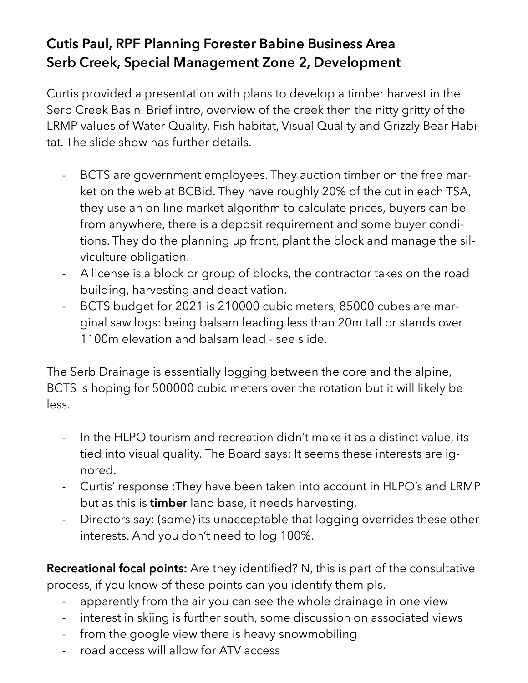# **Cutis Paul, RPF Planning Forester Babine Business Area Serb Creek, Special Management Zone 2, Development**

Curtis provided a presentation with plans to develop a timber harvest in the Serb Creek Basin. Brief intro, overview of the creek then the nitty gritty of the LRMP values of Water Quality, Fish habitat, Visual Quality and Grizzly Bear Habitat. The slide show has further details.

- BCTS are government employees. They auction timber on the free market on the web at BCBid. They have roughly 20% of the cut in each TSA, they use an on line market algorithm to calculate prices, buyers can be from anywhere, there is a deposit requirement and some buyer conditions. They do the planning up front, plant the block and manage the silviculture obligation.
- A license is a block or group of blocks, the contractor takes on the road building, harvesting and deactivation.
- BCTS budget for 2021 is 210000 cubic meters, 85000 cubes are marginal saw logs: being balsam leading less than 20m tall or stands over 1100m elevation and balsam lead - see slide.

The Serb Drainage is essentially logging between the core and the alpine, BCTS is hoping for 500000 cubic meters over the rotation but it will likely be less.

- In the HLPO tourism and recreation didn't make it as a distinct value, its tied into visual quality. The Board says: It seems these interests are ignored.
- Curtis' response :They have been taken into account in HLPO's and LRMP but as this is **timber** land base, it needs harvesting.
- Directors say: (some) its unacceptable that logging overrides these other interests. And you don't need to log 100%.

**Recreational focal points:** Are they identified? N, this is part of the consultative process, if you know of these points can you identify them pls.

- apparently from the air you can see the whole drainage in one view
- interest in skiing is further south, some discussion on associated views
- from the google view there is heavy snowmobiling
- road access will allow for ATV access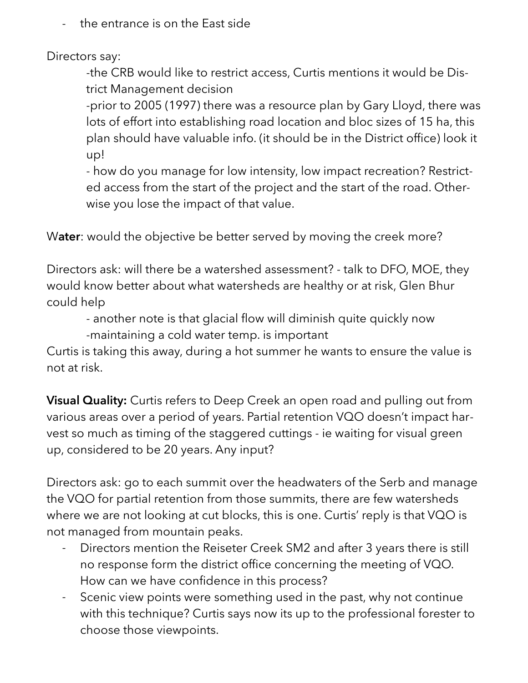- the entrance is on the East side

Directors say:

-the CRB would like to restrict access, Curtis mentions it would be District Management decision

-prior to 2005 (1997) there was a resource plan by Gary Lloyd, there was lots of effort into establishing road location and bloc sizes of 15 ha, this plan should have valuable info. (it should be in the District office) look it up!

- how do you manage for low intensity, low impact recreation? Restricted access from the start of the project and the start of the road. Otherwise you lose the impact of that value.

W**ater**: would the objective be better served by moving the creek more?

Directors ask: will there be a watershed assessment? - talk to DFO, MOE, they would know better about what watersheds are healthy or at risk, Glen Bhur could help

- another note is that glacial flow will diminish quite quickly now

-maintaining a cold water temp. is important

Curtis is taking this away, during a hot summer he wants to ensure the value is not at risk.

**Visual Quality:** Curtis refers to Deep Creek an open road and pulling out from various areas over a period of years. Partial retention VQO doesn't impact harvest so much as timing of the staggered cuttings - ie waiting for visual green up, considered to be 20 years. Any input?

Directors ask: go to each summit over the headwaters of the Serb and manage the VQO for partial retention from those summits, there are few watersheds where we are not looking at cut blocks, this is one. Curtis' reply is that VQO is not managed from mountain peaks.

- Directors mention the Reiseter Creek SM2 and after 3 years there is still no response form the district office concerning the meeting of VQO. How can we have confidence in this process?
- Scenic view points were something used in the past, why not continue with this technique? Curtis says now its up to the professional forester to choose those viewpoints.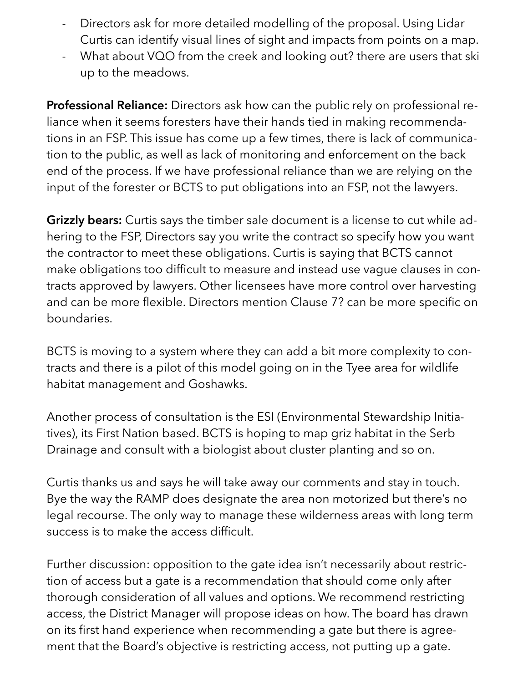- Directors ask for more detailed modelling of the proposal. Using Lidar Curtis can identify visual lines of sight and impacts from points on a map.
- What about VQO from the creek and looking out? there are users that ski up to the meadows.

**Professional Reliance:** Directors ask how can the public rely on professional reliance when it seems foresters have their hands tied in making recommendations in an FSP. This issue has come up a few times, there is lack of communication to the public, as well as lack of monitoring and enforcement on the back end of the process. If we have professional reliance than we are relying on the input of the forester or BCTS to put obligations into an FSP, not the lawyers.

**Grizzly bears:** Curtis says the timber sale document is a license to cut while adhering to the FSP, Directors say you write the contract so specify how you want the contractor to meet these obligations. Curtis is saying that BCTS cannot make obligations too difficult to measure and instead use vague clauses in contracts approved by lawyers. Other licensees have more control over harvesting and can be more flexible. Directors mention Clause 7? can be more specific on boundaries.

BCTS is moving to a system where they can add a bit more complexity to contracts and there is a pilot of this model going on in the Tyee area for wildlife habitat management and Goshawks.

Another process of consultation is the ESI (Environmental Stewardship Initiatives), its First Nation based. BCTS is hoping to map griz habitat in the Serb Drainage and consult with a biologist about cluster planting and so on.

Curtis thanks us and says he will take away our comments and stay in touch. Bye the way the RAMP does designate the area non motorized but there's no legal recourse. The only way to manage these wilderness areas with long term success is to make the access difficult.

Further discussion: opposition to the gate idea isn't necessarily about restriction of access but a gate is a recommendation that should come only after thorough consideration of all values and options. We recommend restricting access, the District Manager will propose ideas on how. The board has drawn on its first hand experience when recommending a gate but there is agreement that the Board's objective is restricting access, not putting up a gate.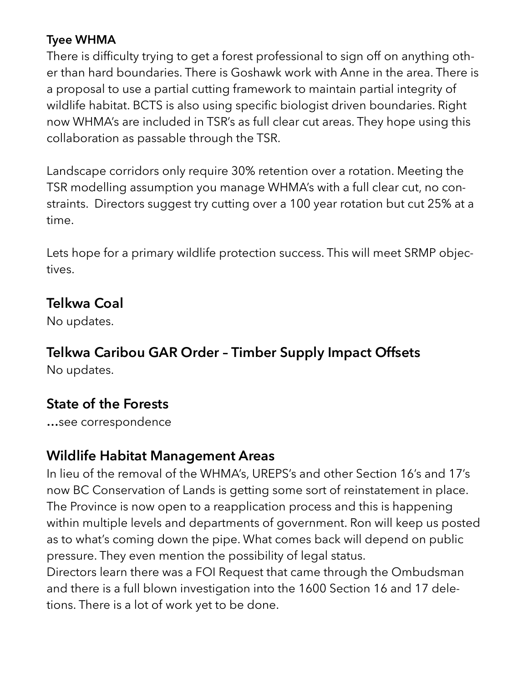#### **Tyee WHMA**

There is difficulty trying to get a forest professional to sign off on anything other than hard boundaries. There is Goshawk work with Anne in the area. There is a proposal to use a partial cutting framework to maintain partial integrity of wildlife habitat. BCTS is also using specific biologist driven boundaries. Right now WHMA's are included in TSR's as full clear cut areas. They hope using this collaboration as passable through the TSR.

Landscape corridors only require 30% retention over a rotation. Meeting the TSR modelling assumption you manage WHMA's with a full clear cut, no constraints. Directors suggest try cutting over a 100 year rotation but cut 25% at a time.

Lets hope for a primary wildlife protection success. This will meet SRMP objectives.

#### **Telkwa Coal**

No updates.

## **Telkwa Caribou GAR Order – Timber Supply Impact Offsets**

No updates.

## **State of the Forests**

**…**see correspondence

## **Wildlife Habitat Management Areas**

In lieu of the removal of the WHMA's, UREPS's and other Section 16's and 17's now BC Conservation of Lands is getting some sort of reinstatement in place. The Province is now open to a reapplication process and this is happening within multiple levels and departments of government. Ron will keep us posted as to what's coming down the pipe. What comes back will depend on public pressure. They even mention the possibility of legal status.

Directors learn there was a FOI Request that came through the Ombudsman and there is a full blown investigation into the 1600 Section 16 and 17 deletions. There is a lot of work yet to be done.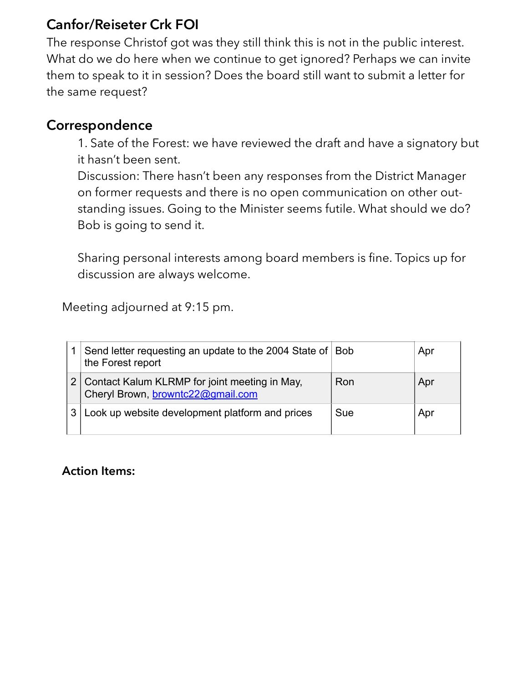### **Canfor/Reiseter Crk FOI**

The response Christof got was they still think this is not in the public interest. What do we do here when we continue to get ignored? Perhaps we can invite them to speak to it in session? Does the board still want to submit a letter for the same request?

#### **Correspondence**

1. Sate of the Forest: we have reviewed the draft and have a signatory but it hasn't been sent.

Discussion: There hasn't been any responses from the District Manager on former requests and there is no open communication on other outstanding issues. Going to the Minister seems futile. What should we do? Bob is going to send it.

Sharing personal interests among board members is fine. Topics up for discussion are always welcome.

Meeting adjourned at 9:15 pm.

|  | Send letter requesting an update to the 2004 State of Bob<br>the Forest report     |     | Apr |
|--|------------------------------------------------------------------------------------|-----|-----|
|  | Contact Kalum KLRMP for joint meeting in May,<br>Cheryl Brown, browntc22@gmail.com | Ron | Apr |
|  | Look up website development platform and prices                                    | Sue | Apr |

**Action Items:**